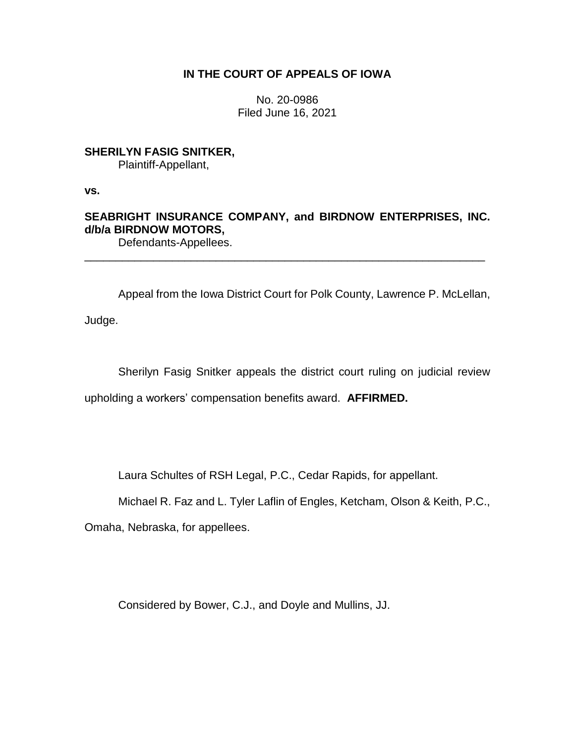## **IN THE COURT OF APPEALS OF IOWA**

No. 20-0986 Filed June 16, 2021

## **SHERILYN FASIG SNITKER,**

Plaintiff-Appellant,

**vs.**

# **SEABRIGHT INSURANCE COMPANY, and BIRDNOW ENTERPRISES, INC. d/b/a BIRDNOW MOTORS,**

\_\_\_\_\_\_\_\_\_\_\_\_\_\_\_\_\_\_\_\_\_\_\_\_\_\_\_\_\_\_\_\_\_\_\_\_\_\_\_\_\_\_\_\_\_\_\_\_\_\_\_\_\_\_\_\_\_\_\_\_\_\_\_\_

Defendants-Appellees.

Appeal from the Iowa District Court for Polk County, Lawrence P. McLellan,

Judge.

Sherilyn Fasig Snitker appeals the district court ruling on judicial review

upholding a workers' compensation benefits award. **AFFIRMED.**

Laura Schultes of RSH Legal, P.C., Cedar Rapids, for appellant.

Michael R. Faz and L. Tyler Laflin of Engles, Ketcham, Olson & Keith, P.C.,

Omaha, Nebraska, for appellees.

Considered by Bower, C.J., and Doyle and Mullins, JJ.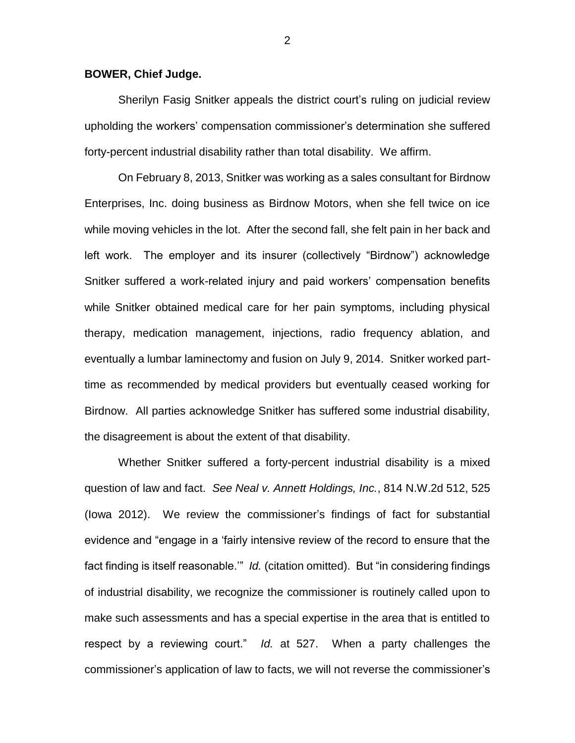### **BOWER, Chief Judge.**

Sherilyn Fasig Snitker appeals the district court's ruling on judicial review upholding the workers' compensation commissioner's determination she suffered forty-percent industrial disability rather than total disability. We affirm.

On February 8, 2013, Snitker was working as a sales consultant for Birdnow Enterprises, Inc. doing business as Birdnow Motors, when she fell twice on ice while moving vehicles in the lot. After the second fall, she felt pain in her back and left work. The employer and its insurer (collectively "Birdnow") acknowledge Snitker suffered a work-related injury and paid workers' compensation benefits while Snitker obtained medical care for her pain symptoms, including physical therapy, medication management, injections, radio frequency ablation, and eventually a lumbar laminectomy and fusion on July 9, 2014. Snitker worked parttime as recommended by medical providers but eventually ceased working for Birdnow. All parties acknowledge Snitker has suffered some industrial disability, the disagreement is about the extent of that disability.

Whether Snitker suffered a forty-percent industrial disability is a mixed question of law and fact. *See Neal v. Annett Holdings, Inc.*, 814 N.W.2d 512, 525 (Iowa 2012). We review the commissioner's findings of fact for substantial evidence and "engage in a 'fairly intensive review of the record to ensure that the fact finding is itself reasonable.'" *Id.* (citation omitted). But "in considering findings of industrial disability, we recognize the commissioner is routinely called upon to make such assessments and has a special expertise in the area that is entitled to respect by a reviewing court." *Id.* at 527. When a party challenges the commissioner's application of law to facts, we will not reverse the commissioner's

2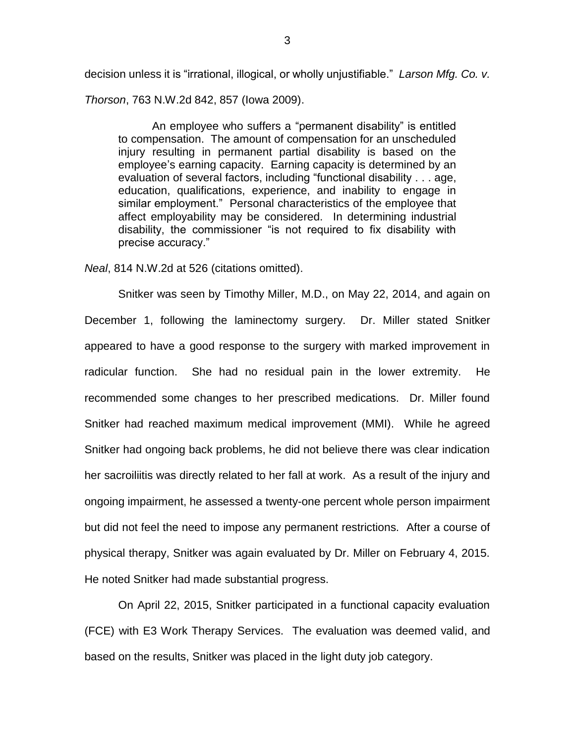decision unless it is "irrational, illogical, or wholly unjustifiable." *Larson Mfg. Co. v.* 

*Thorson*, 763 N.W.2d 842, 857 (Iowa 2009).

An employee who suffers a "permanent disability" is entitled to compensation. The amount of compensation for an unscheduled injury resulting in permanent partial disability is based on the employee's earning capacity. Earning capacity is determined by an evaluation of several factors, including "functional disability . . . age, education, qualifications, experience, and inability to engage in similar employment." Personal characteristics of the employee that affect employability may be considered. In determining industrial disability, the commissioner "is not required to fix disability with precise accuracy."

*Neal*, 814 N.W.2d at 526 (citations omitted).

Snitker was seen by Timothy Miller, M.D., on May 22, 2014, and again on December 1, following the laminectomy surgery. Dr. Miller stated Snitker appeared to have a good response to the surgery with marked improvement in radicular function. She had no residual pain in the lower extremity. He recommended some changes to her prescribed medications. Dr. Miller found Snitker had reached maximum medical improvement (MMI). While he agreed Snitker had ongoing back problems, he did not believe there was clear indication her sacroiliitis was directly related to her fall at work. As a result of the injury and ongoing impairment, he assessed a twenty-one percent whole person impairment but did not feel the need to impose any permanent restrictions. After a course of physical therapy, Snitker was again evaluated by Dr. Miller on February 4, 2015. He noted Snitker had made substantial progress.

On April 22, 2015, Snitker participated in a functional capacity evaluation (FCE) with E3 Work Therapy Services. The evaluation was deemed valid, and based on the results, Snitker was placed in the light duty job category.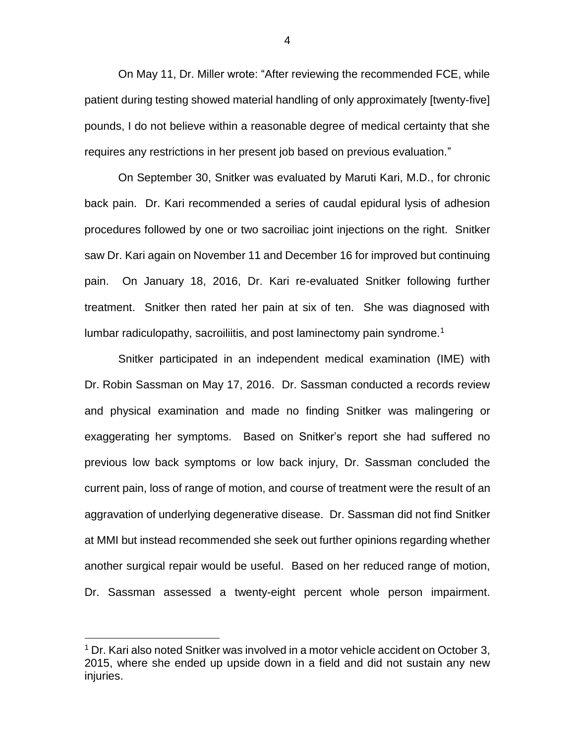On May 11, Dr. Miller wrote: "After reviewing the recommended FCE, while patient during testing showed material handling of only approximately [twenty-five] pounds, I do not believe within a reasonable degree of medical certainty that she requires any restrictions in her present job based on previous evaluation."

On September 30, Snitker was evaluated by Maruti Kari, M.D., for chronic back pain. Dr. Kari recommended a series of caudal epidural lysis of adhesion procedures followed by one or two sacroiliac joint injections on the right. Snitker saw Dr. Kari again on November 11 and December 16 for improved but continuing pain. On January 18, 2016, Dr. Kari re-evaluated Snitker following further treatment. Snitker then rated her pain at six of ten. She was diagnosed with lumbar radiculopathy, sacroiliitis, and post laminectomy pain syndrome.<sup>1</sup>

Snitker participated in an independent medical examination (IME) with Dr. Robin Sassman on May 17, 2016. Dr. Sassman conducted a records review and physical examination and made no finding Snitker was malingering or exaggerating her symptoms. Based on Snitker's report she had suffered no previous low back symptoms or low back injury, Dr. Sassman concluded the current pain, loss of range of motion, and course of treatment were the result of an aggravation of underlying degenerative disease. Dr. Sassman did not find Snitker at MMI but instead recommended she seek out further opinions regarding whether another surgical repair would be useful. Based on her reduced range of motion, Dr. Sassman assessed a twenty-eight percent whole person impairment.

 $\overline{a}$ 

4

<sup>&</sup>lt;sup>1</sup> Dr. Kari also noted Snitker was involved in a motor vehicle accident on October 3, 2015, where she ended up upside down in a field and did not sustain any new injuries.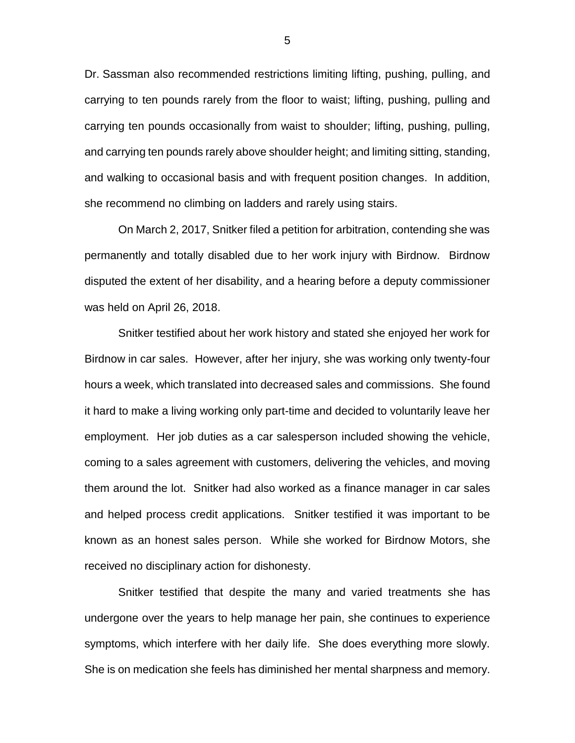Dr. Sassman also recommended restrictions limiting lifting, pushing, pulling, and carrying to ten pounds rarely from the floor to waist; lifting, pushing, pulling and carrying ten pounds occasionally from waist to shoulder; lifting, pushing, pulling, and carrying ten pounds rarely above shoulder height; and limiting sitting, standing, and walking to occasional basis and with frequent position changes. In addition, she recommend no climbing on ladders and rarely using stairs.

On March 2, 2017, Snitker filed a petition for arbitration, contending she was permanently and totally disabled due to her work injury with Birdnow. Birdnow disputed the extent of her disability, and a hearing before a deputy commissioner was held on April 26, 2018.

Snitker testified about her work history and stated she enjoyed her work for Birdnow in car sales. However, after her injury, she was working only twenty-four hours a week, which translated into decreased sales and commissions. She found it hard to make a living working only part-time and decided to voluntarily leave her employment. Her job duties as a car salesperson included showing the vehicle, coming to a sales agreement with customers, delivering the vehicles, and moving them around the lot. Snitker had also worked as a finance manager in car sales and helped process credit applications. Snitker testified it was important to be known as an honest sales person. While she worked for Birdnow Motors, she received no disciplinary action for dishonesty.

Snitker testified that despite the many and varied treatments she has undergone over the years to help manage her pain, she continues to experience symptoms, which interfere with her daily life. She does everything more slowly. She is on medication she feels has diminished her mental sharpness and memory.

5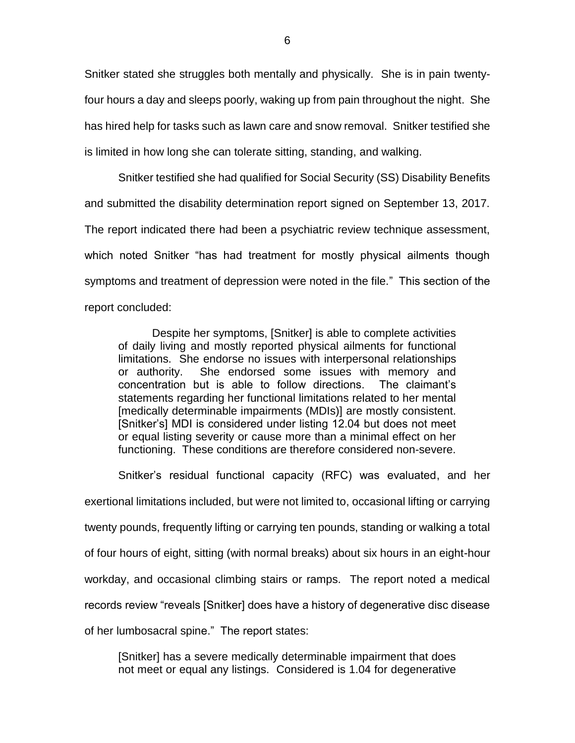Snitker stated she struggles both mentally and physically. She is in pain twentyfour hours a day and sleeps poorly, waking up from pain throughout the night. She has hired help for tasks such as lawn care and snow removal. Snitker testified she is limited in how long she can tolerate sitting, standing, and walking.

Snitker testified she had qualified for Social Security (SS) Disability Benefits and submitted the disability determination report signed on September 13, 2017. The report indicated there had been a psychiatric review technique assessment, which noted Snitker "has had treatment for mostly physical ailments though symptoms and treatment of depression were noted in the file." This section of the report concluded:

Despite her symptoms, [Snitker] is able to complete activities of daily living and mostly reported physical ailments for functional limitations. She endorse no issues with interpersonal relationships or authority. She endorsed some issues with memory and concentration but is able to follow directions. The claimant's statements regarding her functional limitations related to her mental [medically determinable impairments (MDIs)] are mostly consistent. [Snitker's] MDI is considered under listing 12.04 but does not meet or equal listing severity or cause more than a minimal effect on her functioning. These conditions are therefore considered non-severe.

Snitker's residual functional capacity (RFC) was evaluated, and her exertional limitations included, but were not limited to, occasional lifting or carrying twenty pounds, frequently lifting or carrying ten pounds, standing or walking a total of four hours of eight, sitting (with normal breaks) about six hours in an eight-hour workday, and occasional climbing stairs or ramps. The report noted a medical records review "reveals [Snitker] does have a history of degenerative disc disease of her lumbosacral spine." The report states:

[Snitker] has a severe medically determinable impairment that does not meet or equal any listings. Considered is 1.04 for degenerative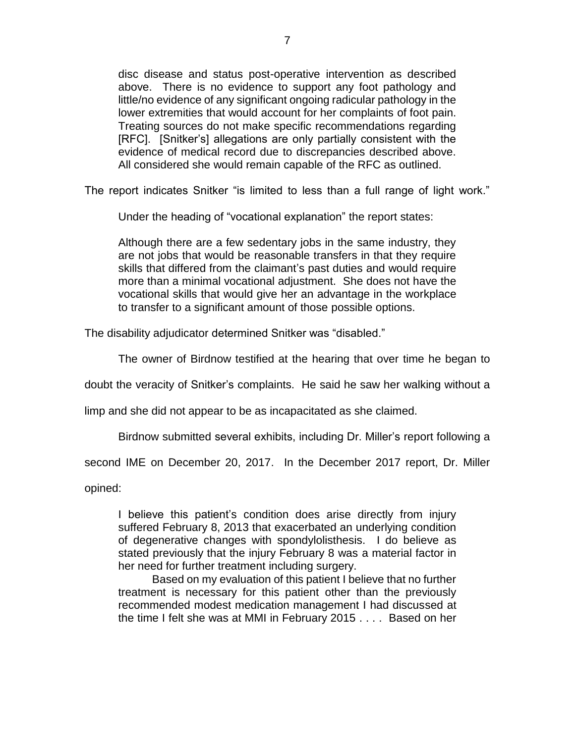disc disease and status post-operative intervention as described above. There is no evidence to support any foot pathology and little/no evidence of any significant ongoing radicular pathology in the lower extremities that would account for her complaints of foot pain. Treating sources do not make specific recommendations regarding [RFC]. [Snitker's] allegations are only partially consistent with the evidence of medical record due to discrepancies described above. All considered she would remain capable of the RFC as outlined.

The report indicates Snitker "is limited to less than a full range of light work."

Under the heading of "vocational explanation" the report states:

Although there are a few sedentary jobs in the same industry, they are not jobs that would be reasonable transfers in that they require skills that differed from the claimant's past duties and would require more than a minimal vocational adjustment. She does not have the vocational skills that would give her an advantage in the workplace to transfer to a significant amount of those possible options.

The disability adjudicator determined Snitker was "disabled."

The owner of Birdnow testified at the hearing that over time he began to

doubt the veracity of Snitker's complaints. He said he saw her walking without a

limp and she did not appear to be as incapacitated as she claimed.

Birdnow submitted several exhibits, including Dr. Miller's report following a

second IME on December 20, 2017. In the December 2017 report, Dr. Miller

opined:

I believe this patient's condition does arise directly from injury suffered February 8, 2013 that exacerbated an underlying condition of degenerative changes with spondylolisthesis. I do believe as stated previously that the injury February 8 was a material factor in her need for further treatment including surgery.

Based on my evaluation of this patient I believe that no further treatment is necessary for this patient other than the previously recommended modest medication management I had discussed at the time I felt she was at MMI in February 2015 . . . . Based on her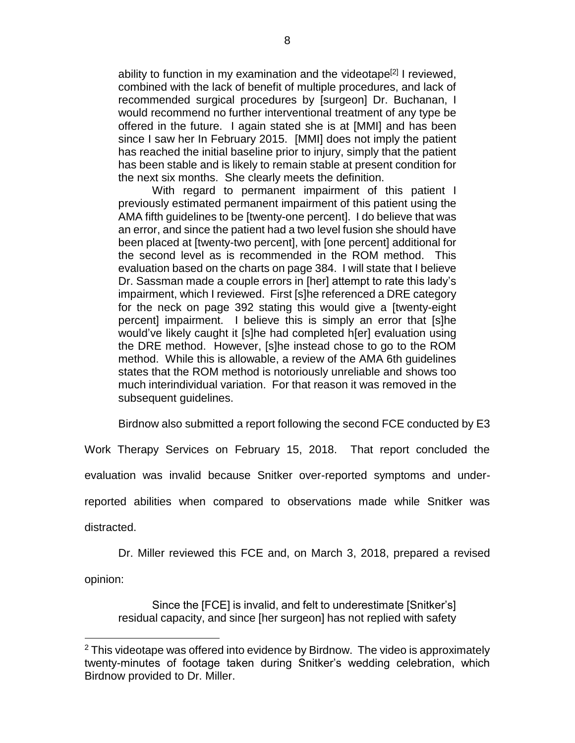ability to function in my examination and the videotape<sup>[2]</sup> I reviewed, combined with the lack of benefit of multiple procedures, and lack of recommended surgical procedures by [surgeon] Dr. Buchanan, I would recommend no further interventional treatment of any type be offered in the future. I again stated she is at [MMI] and has been since I saw her In February 2015. [MMI] does not imply the patient has reached the initial baseline prior to injury, simply that the patient has been stable and is likely to remain stable at present condition for the next six months. She clearly meets the definition.

With regard to permanent impairment of this patient I previously estimated permanent impairment of this patient using the AMA fifth guidelines to be [twenty-one percent]. I do believe that was an error, and since the patient had a two level fusion she should have been placed at [twenty-two percent], with [one percent] additional for the second level as is recommended in the ROM method. This evaluation based on the charts on page 384. I will state that I believe Dr. Sassman made a couple errors in [her] attempt to rate this lady's impairment, which I reviewed. First [s]he referenced a DRE category for the neck on page 392 stating this would give a [twenty-eight percent] impairment. I believe this is simply an error that [s]he would've likely caught it [s]he had completed h[er] evaluation using the DRE method. However, [s]he instead chose to go to the ROM method. While this is allowable, a review of the AMA 6th guidelines states that the ROM method is notoriously unreliable and shows too much interindividual variation. For that reason it was removed in the subsequent guidelines.

Birdnow also submitted a report following the second FCE conducted by E3

Work Therapy Services on February 15, 2018. That report concluded the evaluation was invalid because Snitker over-reported symptoms and underreported abilities when compared to observations made while Snitker was distracted.

Dr. Miller reviewed this FCE and, on March 3, 2018, prepared a revised opinion:

Since the [FCE] is invalid, and felt to underestimate [Snitker's] residual capacity, and since [her surgeon] has not replied with safety

 $\overline{a}$ 

 $2$  This videotape was offered into evidence by Birdnow. The video is approximately twenty-minutes of footage taken during Snitker's wedding celebration, which Birdnow provided to Dr. Miller.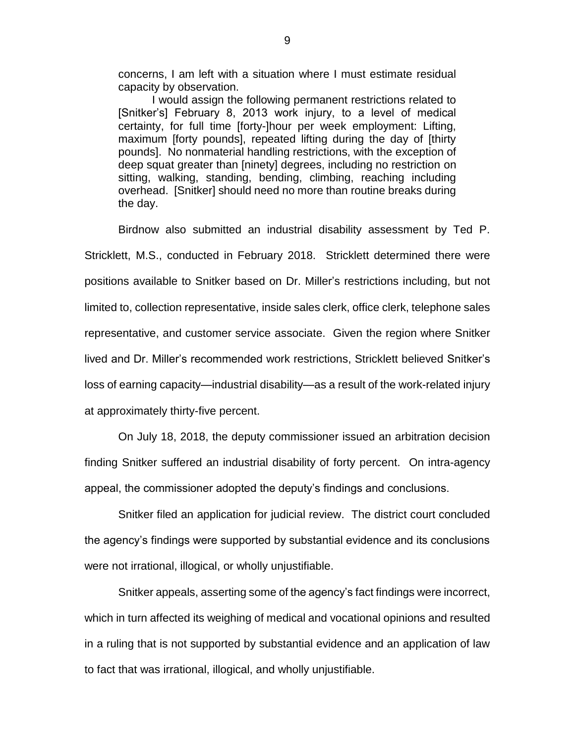concerns, I am left with a situation where I must estimate residual capacity by observation.

I would assign the following permanent restrictions related to [Snitker's] February 8, 2013 work injury, to a level of medical certainty, for full time [forty-]hour per week employment: Lifting, maximum [forty pounds], repeated lifting during the day of [thirty pounds]. No nonmaterial handling restrictions, with the exception of deep squat greater than [ninety] degrees, including no restriction on sitting, walking, standing, bending, climbing, reaching including overhead. [Snitker] should need no more than routine breaks during the day.

Birdnow also submitted an industrial disability assessment by Ted P. Stricklett, M.S., conducted in February 2018. Stricklett determined there were positions available to Snitker based on Dr. Miller's restrictions including, but not limited to, collection representative, inside sales clerk, office clerk, telephone sales representative, and customer service associate. Given the region where Snitker lived and Dr. Miller's recommended work restrictions, Stricklett believed Snitker's loss of earning capacity—industrial disability—as a result of the work-related injury at approximately thirty-five percent.

On July 18, 2018, the deputy commissioner issued an arbitration decision finding Snitker suffered an industrial disability of forty percent. On intra-agency appeal, the commissioner adopted the deputy's findings and conclusions.

Snitker filed an application for judicial review. The district court concluded the agency's findings were supported by substantial evidence and its conclusions were not irrational, illogical, or wholly unjustifiable.

Snitker appeals, asserting some of the agency's fact findings were incorrect, which in turn affected its weighing of medical and vocational opinions and resulted in a ruling that is not supported by substantial evidence and an application of law to fact that was irrational, illogical, and wholly unjustifiable.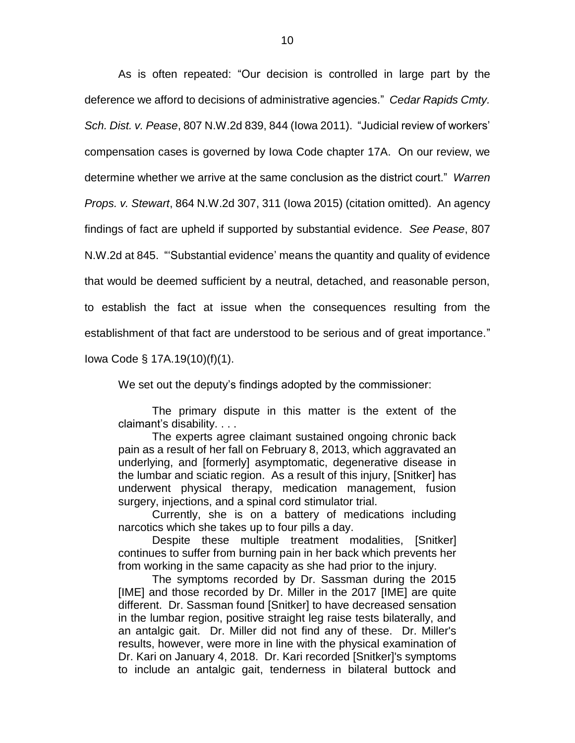As is often repeated: "Our decision is controlled in large part by the deference we afford to decisions of administrative agencies." *Cedar Rapids Cmty. Sch. Dist. v. Pease*, 807 N.W.2d 839, 844 (Iowa 2011). "Judicial review of workers' compensation cases is governed by Iowa Code chapter 17A. On our review, we determine whether we arrive at the same conclusion as the district court." *Warren Props. v. Stewart*, 864 N.W.2d 307, 311 (Iowa 2015) (citation omitted). An agency findings of fact are upheld if supported by substantial evidence. *See Pease*, 807 N.W.2d at 845. "'Substantial evidence' means the quantity and quality of evidence that would be deemed sufficient by a neutral, detached, and reasonable person, to establish the fact at issue when the consequences resulting from the establishment of that fact are understood to be serious and of great importance."

Iowa Code § 17A.19(10)(f)(1).

We set out the deputy's findings adopted by the commissioner:

The primary dispute in this matter is the extent of the claimant's disability. . . .

The experts agree claimant sustained ongoing chronic back pain as a result of her fall on February 8, 2013, which aggravated an underlying, and [formerly] asymptomatic, degenerative disease in the lumbar and sciatic region. As a result of this injury, [Snitker] has underwent physical therapy, medication management, fusion surgery, injections, and a spinal cord stimulator trial.

Currently, she is on a battery of medications including narcotics which she takes up to four pills a day.

Despite these multiple treatment modalities, [Snitker] continues to suffer from burning pain in her back which prevents her from working in the same capacity as she had prior to the injury.

The symptoms recorded by Dr. Sassman during the 2015 [IME] and those recorded by Dr. Miller in the 2017 [IME] are quite different. Dr. Sassman found [Snitker] to have decreased sensation in the lumbar region, positive straight leg raise tests bilaterally, and an antalgic gait. Dr. Miller did not find any of these. Dr. Miller's results, however, were more in line with the physical examination of Dr. Kari on January 4, 2018. Dr. Kari recorded [Snitker]'s symptoms to include an antalgic gait, tenderness in bilateral buttock and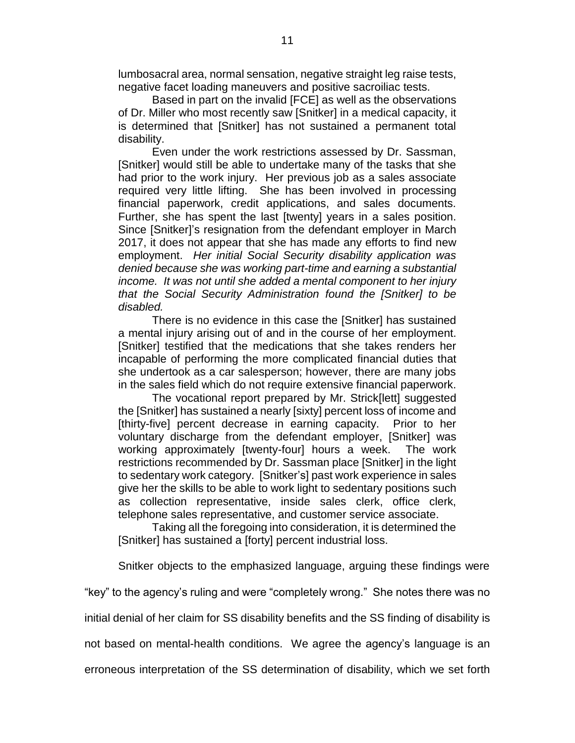lumbosacral area, normal sensation, negative straight leg raise tests, negative facet loading maneuvers and positive sacroiliac tests.

Based in part on the invalid [FCE] as well as the observations of Dr. Miller who most recently saw [Snitker] in a medical capacity, it is determined that [Snitker] has not sustained a permanent total disability.

Even under the work restrictions assessed by Dr. Sassman, [Snitker] would still be able to undertake many of the tasks that she had prior to the work injury. Her previous job as a sales associate required very little lifting. She has been involved in processing financial paperwork, credit applications, and sales documents. Further, she has spent the last [twenty] years in a sales position. Since [Snitker]'s resignation from the defendant employer in March 2017, it does not appear that she has made any efforts to find new employment. *Her initial Social Security disability application was denied because she was working part-time and earning a substantial income. It was not until she added a mental component to her injury that the Social Security Administration found the [Snitker] to be disabled.*

There is no evidence in this case the [Snitker] has sustained a mental injury arising out of and in the course of her employment. [Snitker] testified that the medications that she takes renders her incapable of performing the more complicated financial duties that she undertook as a car salesperson; however, there are many jobs in the sales field which do not require extensive financial paperwork.

The vocational report prepared by Mr. Strick[lett] suggested the [Snitker] has sustained a nearly [sixty] percent loss of income and [thirty-five] percent decrease in earning capacity. Prior to her voluntary discharge from the defendant employer, [Snitker] was working approximately [twenty-four] hours a week. The work restrictions recommended by Dr. Sassman place [Snitker] in the light to sedentary work category. [Snitker's] past work experience in sales give her the skills to be able to work light to sedentary positions such as collection representative, inside sales clerk, office clerk, telephone sales representative, and customer service associate.

Taking all the foregoing into consideration, it is determined the [Snitker] has sustained a [forty] percent industrial loss.

Snitker objects to the emphasized language, arguing these findings were

"key" to the agency's ruling and were "completely wrong." She notes there was no

initial denial of her claim for SS disability benefits and the SS finding of disability is

not based on mental-health conditions. We agree the agency's language is an

erroneous interpretation of the SS determination of disability, which we set forth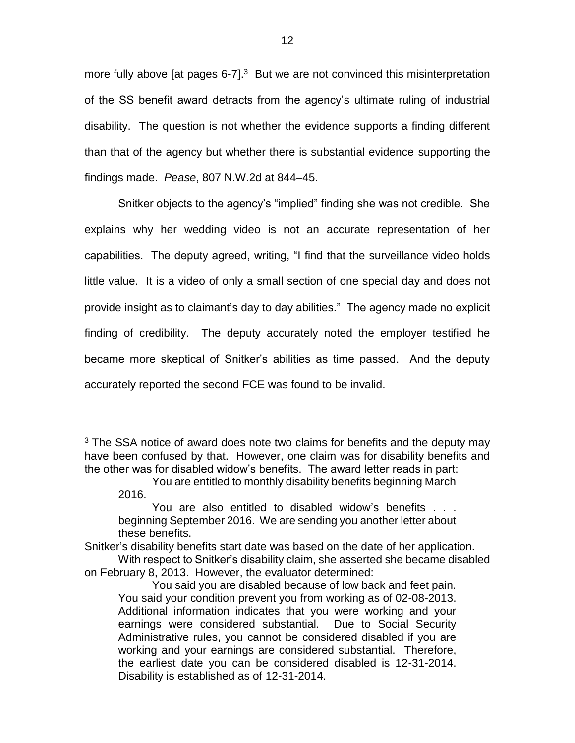more fully above [at pages 6-7].<sup>3</sup> But we are not convinced this misinterpretation of the SS benefit award detracts from the agency's ultimate ruling of industrial disability. The question is not whether the evidence supports a finding different than that of the agency but whether there is substantial evidence supporting the findings made. *Pease*, 807 N.W.2d at 844–45.

Snitker objects to the agency's "implied" finding she was not credible. She explains why her wedding video is not an accurate representation of her capabilities. The deputy agreed, writing, "I find that the surveillance video holds little value. It is a video of only a small section of one special day and does not provide insight as to claimant's day to day abilities." The agency made no explicit finding of credibility. The deputy accurately noted the employer testified he became more skeptical of Snitker's abilities as time passed. And the deputy accurately reported the second FCE was found to be invalid.

 $\overline{a}$ 

 $3$  The SSA notice of award does note two claims for benefits and the deputy may have been confused by that. However, one claim was for disability benefits and the other was for disabled widow's benefits. The award letter reads in part:

You are entitled to monthly disability benefits beginning March 2016.

You are also entitled to disabled widow's benefits . . . beginning September 2016. We are sending you another letter about these benefits.

Snitker's disability benefits start date was based on the date of her application. With respect to Snitker's disability claim, she asserted she became disabled

on February 8, 2013. However, the evaluator determined:

You said you are disabled because of low back and feet pain. You said your condition prevent you from working as of 02-08-2013. Additional information indicates that you were working and your earnings were considered substantial. Due to Social Security Administrative rules, you cannot be considered disabled if you are working and your earnings are considered substantial. Therefore, the earliest date you can be considered disabled is 12-31-2014. Disability is established as of 12-31-2014.